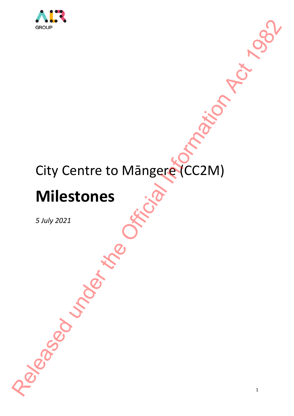

# City Centre to Māngere (CC2M) Released under the Office CC2M)

# **Milestones**

*5 July 2021*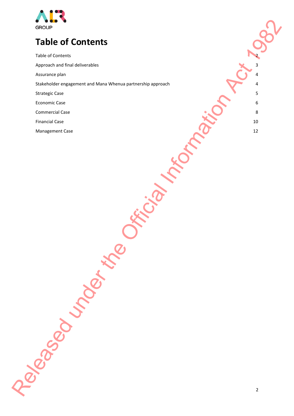

# **Table of Contents** Release of Contents<br>
Release of Contents<br>
Release of Contents<br>
Release of Contents<br>
Release of Contents<br>
Release of Contents<br>
Release of Contents<br>
Release of Contents<br>
Release of Contents<br>
Release of Contents<br>
Release of C

Table of Contents 2 Approach and final deliverables 3 and 5 and 5 and 5 and 5 and 5 and 5 and 5 and 5 and 5 and 5 and 5 and 5 and 5 and 5 and 5 and 5 and 5 and 5 and 5 and 5 and 5 and 5 and 5 and 5 and 5 and 5 and 5 and 5 and 5 and 5 and 5 an

Assurance plan 4 and 2008 and 2008 and 2008 and 2008 and 2008 and 2008 and 2008 and 2008 and 2008 and 2008 and

Stakeholder engagement and Mana Whenua partnership approach 4

Strategic Case 5 and 2012 12:00 the strategic Case 5 and 2012 12:00 the strategic Case 5 and 2012 12:00 the strategic Case 5 and 2012 12:00 the strategic Case 5 and 2012 12:00 the strategic Case 5 and 2012 12:00 the strate

Economic Case 6

Commercial Case 8

Financial Case 2020 10 2020 10 2020 10 2020 10 2020 10 2020 10 2020 10 2020 10 2020 10 2020 10 2020 10 2020 10

Management Case 12 and 20 and 20 and 20 and 20 and 20 and 20 and 20 and 20 and 20 and 20 and 20 and 20 and 20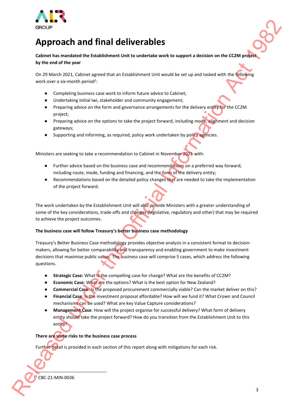

# **Approach and final deliverables**

**Cabinet has mandated the Establishment Unit to undertake work to support a decision on the CC2M project by the end of the year**

On 29 March 2021, Cabinet agreed that an Establishment Unit would be set up and tasked with the following work over a six-month period<sup>1</sup>:

- Completing business case work to inform future advice to Cabinet;
- Undertaking initial iwi, stakeholder and community engagement;
- Preparing advice on the form and governance arrangements for the delivery entity for the CC2M project;
- Preparing advice on the options to take the project forward, including mode, alignment and decision gateways;
- Supporting and informing, as required, policy work undertaken by policy agencies.

Ministers are seeking to take a recommendation to Cabinet in November 2021 with:

- Further advice based on the business case and recommendations on a preferred way forward, including route, mode, funding and financing, and the form of the delivery entity;
- Recommendations based on the detailed policy changes that are needed to take the implementation of the project forward.

The work undertaken by the Establishment Unit will also provide Ministers with a greater understanding of some of the key considerations, trade-offs and changes (legislative, regulatory and other) that may be required to achieve the project outcomes.

# **The business case will follow Treasury's better business case methodology**

Treasury's Better Business Case methodology provides objective analysis in a consistent format to decisionmakers, allowing for better comparability and transparency and enabling government to make investment decisions that maximise public value. The business case will comprise 5 cases, which address the following questions. **EXECUTE ACTION ACTION CONTINUOS**<br> **EXECUTE ACTION CONTINUOS**<br> **CONTINUOS**<br> **CONTINUOS**<br> **CONTINUOS**<br> **CONTINUOS**<br> **CONTINUOS**<br> **CONTINUOS**<br> **CONTINUOS**<br> **CONTINUOS**<br> **CONTINUOS**<br> **CONTINUOS**<br> **CONTINUOS**<br> **CONTINUOS**<br> **C** 

- **Strategic Case:** What is the compelling case for change? What are the benefits of CC2M?
- **Economic Case: What are the options? What is the best option for New Zealand?**
- **Commercial Case: Is the proposed procurement commercially viable? Can the market deliver on this?**
- **Financial Case**: Is the investment proposal affordable? How will we fund it? What Crown and Council mechanisms can be used? What are key Value Capture considerations?
- **Management Case: How will the project organise for successful delivery? What form of delivery** entity should take the project forward? How do you transition from the Establishment Unit to this entity?

### **There are some risks to the business case process**

Further detail is provided in each section of this report along with mitigations for each risk.

CBC-21-MIN-0036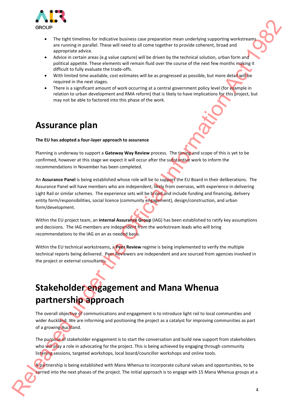

- The tight timelines for indicative business case preparation mean underlying supporting workstreams are running in parallel. These will need to all come together to provide coherent, broad and appropriate advice.
- Advice in certain areas (e.g value capture) will be driven by the technical solution, urban form and political appetite. These elements will remain fluid over the course of the next few months making it difficult to fully evaluate the trade-offs.
- With limited time available, cost estimates will be as progressed as possible, but more detail will be required in the next stages.
- There is a significant amount of work occurring at a central government policy level (for example in relation to urban development and RMA reform) that is likely to have implications for this project, but may not be able to factored into this phase of the work.

# **Assurance plan**

### **The EU has adopted a four-layer approach to assurance**

Planning is underway to support a **Gateway Way Review** process. The timing and scope of this is yet to be confirmed, however at this stage we expect it will occur after the substantive work to inform the recommendations in November has been completed.

An **Assurance Panel** is being established whose role will be to support the EU Board in their deliberations. The Assurance Panel will have members who are independent, likely from overseas, with experience in delivering Light Rail or similar schemes. The experience sets will be broad and include funding and financing, delivery entity form/responsibilities, social licence (community engagement), design/construction, and urban form/development. **EXAMPLE THE SURFAME CONFIDENTIES CONFIDENTIES CONFIDENTIES CONFIDENTIES CONFIDENTIES CONFIDENTIES CONFIDENTIES CONFIDENTIES CONFIDENTIES CONFIDENTIES CONFIDENTIES CONFIDENTIES CONFIDENTIES CONFIDENTIES CONFIDENTIES CONFI** 

Within the EU project team, an **Internal Assurance Group** (IAG) has been established to ratify key assumptions and decisions. The IAG members are independent from the workstream leads who will bring recommendations to the IAG on an as needed basis.

Within the EU technical workstreams, a **Peer Review** regime is being implemented to verify the multiple technical reports being delivered. Peer Reviewers are independent and are sourced from agencies involved in the project or external consultants.

# **Stakeholder engagement and Mana Whenua partnership approach**

The overall objective of communications and engagement is to introduce light rail to local communities and wider Auckland. We are informing and positioning the project as a catalyst for improving communities as part of a growing Auckland.

The purpose of stakeholder engagement is to start the conversation and build new support from stakeholders who will play a role in advocating for the project. This is being achieved by engaging through community listening sessions, targeted workshops, local board/councillor workshops and online tools.

A partnership is being established with Mana Whenua to incorporate cultural values and opportunities, to be carried into the next phases of the project. The initial approach is to engage with 15 Mana Whenua groups at a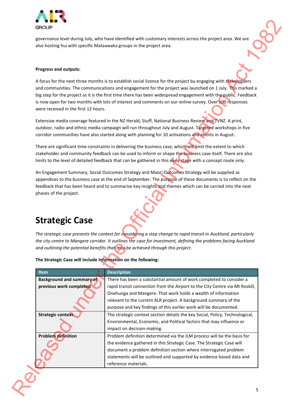

### **Progress and outputs:**

# **Strategic Case**

| governance level during July, who have identified with customary interests across the project area. We are<br>also hosting hui with specific Mataawaka groups in the project area. |                                                                                                                                                                                                                                                                                                                                                                                                                                                         |
|------------------------------------------------------------------------------------------------------------------------------------------------------------------------------------|---------------------------------------------------------------------------------------------------------------------------------------------------------------------------------------------------------------------------------------------------------------------------------------------------------------------------------------------------------------------------------------------------------------------------------------------------------|
| Progress and outputs:                                                                                                                                                              |                                                                                                                                                                                                                                                                                                                                                                                                                                                         |
| were received in the first 12 hours.                                                                                                                                               | A focus for the next three months is to establish social licence for the project by engaging with stakeholders<br>and communities. The communications and engagement for the project was launched on 1 July. This marked a<br>big step for the project as it is the first time there has been widespread engagement with the public. Feedback<br>is now open for two months with lots of interest and comments on our online survey. Over 100 responses |
|                                                                                                                                                                                    | Extensive media coverage featured in the NZ Herald, Stuff, National Business Review and TVNZ. A print,<br>outdoor, radio and ethnic media campaign will run throughout July and August. Targeted workshops in five<br>corridor communities have also started along with planning for 10 activations and events in August.                                                                                                                               |
|                                                                                                                                                                                    | There are significant time constraints in delivering the business case, which will limit the extent to which<br>stakeholder and community feedback can be used to inform or shape the business case itself. There are also<br>limits to the level of detailed feedback that can be gathered in this early stage with a concept route only.                                                                                                              |
|                                                                                                                                                                                    | An Engagement Summary, Social Outcomes Strategy and Maori Outcomes Strategy will be supplied as<br>appendices to the business case at the end of September. The purpose of these documents is to reflect on the                                                                                                                                                                                                                                         |
|                                                                                                                                                                                    | feedback that has been heard and to summarise key insights and themes which can be carried into the next<br>The strategic case presents the context for considering a step change to rapid transit in Auckland, particularly<br>and outlining the potential benefits that may be achieved through this project.                                                                                                                                         |
| phases of the project.<br><b>Strategic Case</b><br>The Strategic Case will include information on the following:                                                                   | the city centre to Mangere corridor. It outlines the case for investment, defining the problems facing Auckland                                                                                                                                                                                                                                                                                                                                         |
| <b>Item</b><br><b>Background and summary of</b><br>previous work completed                                                                                                         | <b>Description</b><br>There has been a substantial amount of work completed to consider a<br>rapid transit connection from the Airport to the City Centre via Mt Roskill,<br>Onehunga and Mangere. That work holds a wealth of information<br>relevant to the current ALR project. A background summary of the                                                                                                                                          |
| <b>Strategic context</b>                                                                                                                                                           | purpose and key findings of this earlier work will be documented.<br>The strategic context section details the key Social, Policy, Technological,<br>Environmental, Economic, and Political factors that may influence or<br>impact on decision-making.                                                                                                                                                                                                 |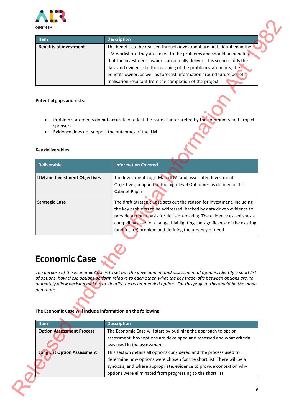

| <b>Item</b>                   | <b>Description</b>                                                         |
|-------------------------------|----------------------------------------------------------------------------|
| <b>Benefits of investment</b> | The benefits to be realised through investment are first identified in the |
|                               | ILM workshop. They are linked to the problems and should be benefits       |
|                               | that the investment 'owner' can actually deliver. This section adds the    |
|                               | data and evidence to the mapping of the problem statements, the            |
|                               | benefits owner, as well as forecast information around future benefit      |
|                               | realisation resultant from the completion of the project.                  |

# **Potential gaps and risks:**

- Problem statements do not accurately reflect the issue as interpreted by the community and project sponsors
- Evidence does not support the outcomes of the ILM

### **Key deliverables**

| <b>Item</b>                                                                                        | <b>Description</b>                                                                                                                                                                                                                                                                                                                                                                                                                     |
|----------------------------------------------------------------------------------------------------|----------------------------------------------------------------------------------------------------------------------------------------------------------------------------------------------------------------------------------------------------------------------------------------------------------------------------------------------------------------------------------------------------------------------------------------|
| <b>Benefits of investment</b>                                                                      | The benefits to be realised through investment are first identified in the<br>ILM workshop. They are linked to the problems and should be benefits<br>that the investment 'owner' can actually deliver. This section adds the<br>data and evidence to the mapping of the problem statements, the<br>benefits owner, as well as forecast information around future benefit<br>realisation resultant from the completion of the project. |
|                                                                                                    |                                                                                                                                                                                                                                                                                                                                                                                                                                        |
| <b>Potential gaps and risks:</b>                                                                   |                                                                                                                                                                                                                                                                                                                                                                                                                                        |
| sponsors<br>٠                                                                                      | Problem statements do not accurately reflect the issue as interpreted by the community and project<br>Evidence does not support the outcomes of the ILM                                                                                                                                                                                                                                                                                |
| <b>Key deliverables</b>                                                                            |                                                                                                                                                                                                                                                                                                                                                                                                                                        |
| <b>Deliverable</b>                                                                                 | <b>Information Covered</b>                                                                                                                                                                                                                                                                                                                                                                                                             |
| ILM and Investment Objectives                                                                      | The Investment Logic Map (ILM) and associated Investment<br>Objectives, mapped to the high-level Outcomes as defined in the<br>Cabinet Paper                                                                                                                                                                                                                                                                                           |
| <b>Strategic Case</b>                                                                              | The draft Strategic Case sets out the reason for investment, including<br>the key problems to be addressed, backed by data driven evidence to<br>provide a robust basis for decision-making. The evidence establishes a<br>compelling case for change, highlighting the significance of the existing<br>(and future) problem and defining the urgency of need.                                                                         |
| <b>Economic Case</b><br>and route.<br>The Economic Case will include information on the following: | The purpose of the Economic Case is to set out the development and assessment of options, identify a short list<br>of options, how these options perform relative to each other, what the key trade-offs between options are, to<br>ultimately allow decision makers to identify the recommended option. For this project, this would be the mode                                                                                      |
| ltem                                                                                               | <b>Description</b>                                                                                                                                                                                                                                                                                                                                                                                                                     |
| <b>Option Assessment Process</b>                                                                   | The Economic Case will start by outlining the approach to option<br>assessment, how options are developed and assessed and what criteria<br>was used in the assessment.                                                                                                                                                                                                                                                                |
| <b>Long List Option Assessment</b>                                                                 | This section details all options considered and the process used to<br>determine how options were chosen for the short list. There will be a                                                                                                                                                                                                                                                                                           |

# **Economic Case**

## **The Economic Case will include information on the following:**

| <b>Item</b>                        | <b>Description</b>                                                                                                                                                                                                                                                                 |
|------------------------------------|------------------------------------------------------------------------------------------------------------------------------------------------------------------------------------------------------------------------------------------------------------------------------------|
| <b>Option Assessment Process</b>   | The Economic Case will start by outlining the approach to option<br>assessment, how options are developed and assessed and what criteria<br>was used in the assessment.                                                                                                            |
| <b>Long List Option Assessment</b> | This section details all options considered and the process used to<br>determine how options were chosen for the short list. There will be a<br>synopsis, and where appropriate, evidence to provide context on why<br>options were eliminated from progressing to the short list. |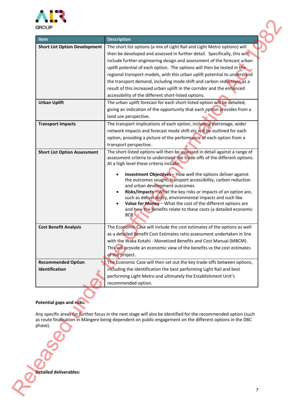

| <b>Item</b>                                                           | <b>Description</b>                                                                                                                                                                                                                                                                                                                                                                                                                                                                                                                                                                                                                                               |
|-----------------------------------------------------------------------|------------------------------------------------------------------------------------------------------------------------------------------------------------------------------------------------------------------------------------------------------------------------------------------------------------------------------------------------------------------------------------------------------------------------------------------------------------------------------------------------------------------------------------------------------------------------------------------------------------------------------------------------------------------|
| <b>Short List Option Development</b>                                  | The short list options (a mix of Light Rail and Light Metro options) will<br>then be developed and assessed in further detail. Specifically, this will<br>include further engineering design and assessment of the forecast urban<br>uplift potential of each option. The options will then be tested in the<br>regional transport models, with this urban uplift potential to understand<br>the transport demand, including mode shift and carbon reductions as a<br>result of this increased urban uplift in the corridor and the enhanced<br>accessibility of the different short-listed options.                                                             |
| <b>Urban Uplift</b>                                                   | The urban uplift forecast for each short-listed option will be detailed,<br>giving an indication of the opportunity that each option provides from a<br>land use perspective.                                                                                                                                                                                                                                                                                                                                                                                                                                                                                    |
| <b>Transport Impacts</b>                                              | The transport implications of each option, including patronage, wider<br>network impacts and forecast mode shift etc will be outlined for each<br>option, providing a picture of the performance of each option from a<br>transport perspective.                                                                                                                                                                                                                                                                                                                                                                                                                 |
| <b>Short List Option Assessment</b>                                   | The short-listed options will then be assessed in detail against a range of<br>assessment criteria to understand the trade-offs of the different options.<br>At a high level these criteria include:<br><b>Investment Objectives</b> - How well the options deliver against<br>the outcomes sought, transport accessibility, carbon reduction<br>and urban development outcomes<br>Risks/Impacts-What the key risks or impacts of an option are,<br>such as deliverability, environmental impacts and such like<br>Value for Money - What the cost of the different options are<br>and how the benefits relate to these costs (a detailed economic<br><b>BCR</b> |
| <b>Cost Benefit Analysis</b>                                          | The Economic Case will include the cost estimates of the options as well<br>as a detailed Benefit Cost Estimates ratio assessment undertaken in line<br>with the Waka Kotahi - Monetised Benefits and Cost Manual (MBCM).<br>This will provide an economic view of the benefits vs the cost estimates<br>of the project.                                                                                                                                                                                                                                                                                                                                         |
| <b>Recommended Option</b><br>Identification                           | The Economic Case will then set out the key trade-offs between options,<br>including the identification the best performing Light Rail and best<br>performing Light Metro and ultimately the Establishment Unit's<br>recommended option.                                                                                                                                                                                                                                                                                                                                                                                                                         |
| Potential gaps and risks:<br>phase).<br><b>Detailed deliverables:</b> | Any specific areas for further focus in the next stage will also be identified for the recommended option (such<br>as route finalisation in Mängere being dependent on public engagement on the different options in the DBC                                                                                                                                                                                                                                                                                                                                                                                                                                     |

# **Potential gaps and risks:**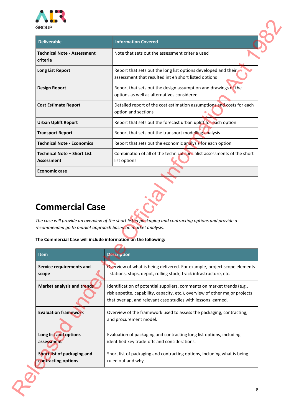

| <b>Deliverable</b>                                          | <b>Information Covered</b>                                                                                                                                                                                               |
|-------------------------------------------------------------|--------------------------------------------------------------------------------------------------------------------------------------------------------------------------------------------------------------------------|
| <b>Technical Note - Assessment</b><br>criteria              | Note that sets out the assessment criteria used                                                                                                                                                                          |
| <b>Long List Report</b>                                     | Report that sets out the long list options developed and their<br>assessment that resulted int eh short listed options                                                                                                   |
| <b>Design Report</b>                                        | Report that sets out the design assumption and drawings of the<br>options as well as alternatives considered                                                                                                             |
| <b>Cost Estimate Report</b>                                 | Detailed report of the cost estimation assumptions and costs for each<br>option and sections                                                                                                                             |
| <b>Urban Uplift Report</b>                                  | Report that sets out the forecast urban uplift for each option                                                                                                                                                           |
| <b>Transport Report</b>                                     | Report that sets out the transport modelling analysis                                                                                                                                                                    |
| <b>Technical Note - Economics</b>                           | Report that sets out the economic analysis for each option                                                                                                                                                               |
| <b>Technical Note - Short List</b><br><b>Assessment</b>     | Combination of all of the technical specialist assessments of the short<br>list options                                                                                                                                  |
|                                                             |                                                                                                                                                                                                                          |
| <b>Economic case</b><br><b>Commercial Case</b>              | The case will provide an overview of the short listed packaging and contracting options and provide a                                                                                                                    |
| recommended go to market approach based on market analysis. | The Commercial Case will include information on the following:                                                                                                                                                           |
| <b>Item</b>                                                 | <b>Description</b>                                                                                                                                                                                                       |
| Service requirements and<br>scope                           | - stations, stops, depot, rolling stock, track infrastructure, etc.                                                                                                                                                      |
| Market analysis and trends                                  | Identification of potential suppliers, comments on market trends (e.g.,<br>risk appetite, capability, capacity, etc.), overview of other major projects<br>that overlap, and relevant case studies with lessons learned. |
| <b>Evaluation framework</b>                                 | Overview of the framework used to assess the packaging, contracting,<br>and procurement model.                                                                                                                           |
| Long list and options<br>assessment                         | Overview of what is being delivered. For example, project scope elements<br>Evaluation of packaging and contracting long list options, including<br>identified key trade-offs and considerations.                        |

# **Commercial Case**

# **The Commercial Case will include information on the following:**

| <b>Item</b>                 | <b>Description</b>                                                                                                                                                                                                       |
|-----------------------------|--------------------------------------------------------------------------------------------------------------------------------------------------------------------------------------------------------------------------|
| Service requirements and    | Overview of what is being delivered. For example, project scope elements                                                                                                                                                 |
| scope                       | - stations, stops, depot, rolling stock, track infrastructure, etc.                                                                                                                                                      |
| Market analysis and trends  | Identification of potential suppliers, comments on market trends (e.g.,<br>risk appetite, capability, capacity, etc.), overview of other major projects<br>that overlap, and relevant case studies with lessons learned. |
| <b>Evaluation framework</b> | Overview of the framework used to assess the packaging, contracting,<br>and procurement model.                                                                                                                           |
| Long list and options       | Evaluation of packaging and contracting long list options, including                                                                                                                                                     |
| assessment                  | identified key trade-offs and considerations.                                                                                                                                                                            |
| Short list of packaging and | Short list of packaging and contracting options, including what is being                                                                                                                                                 |
| contracting options         | ruled out and why.                                                                                                                                                                                                       |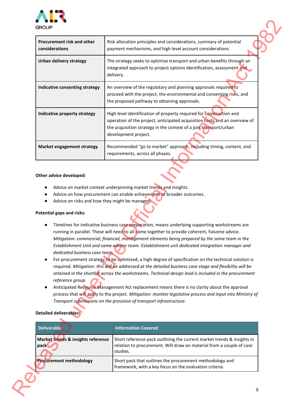

| Procurement risk and other<br>considerations        | Risk allocation principles and considerations, summary of potential<br>payment mechanisms, and high level account considerations.                                                                                                                                                                                                                                                                                                                                                                                                                                                                                                                                                                                                   |
|-----------------------------------------------------|-------------------------------------------------------------------------------------------------------------------------------------------------------------------------------------------------------------------------------------------------------------------------------------------------------------------------------------------------------------------------------------------------------------------------------------------------------------------------------------------------------------------------------------------------------------------------------------------------------------------------------------------------------------------------------------------------------------------------------------|
| <b>Urban delivery strategy</b>                      | The strategy seeks to optimise transport and urban benefits through an<br>integrated approach to project options identification, assessment and<br>delivery.                                                                                                                                                                                                                                                                                                                                                                                                                                                                                                                                                                        |
| Indicative consenting strategy                      | An overview of the regulatory and planning approvals required to<br>proceed with the project, the environmental and consenting risks, and<br>the proposed pathway to obtaining approvals.                                                                                                                                                                                                                                                                                                                                                                                                                                                                                                                                           |
| Indicative property strategy                        | High level identification of property required for construction and<br>operation of the project, anticipated acquisition costs and an overview of<br>the acquisition strategy in the context of a join transport/urban<br>development project.                                                                                                                                                                                                                                                                                                                                                                                                                                                                                      |
| Market engagement strategy                          | Recommended "go to market" approach, including timing, content, and<br>requirements, across all phases.                                                                                                                                                                                                                                                                                                                                                                                                                                                                                                                                                                                                                             |
| dedicated business case team.<br>$\bullet$          | Timelines for indicative business case preparation, means underlying supporting workstreams are<br>running in parallel. These will need to all come together to provide coherent, fulsome advice.<br>Mitigation: commercial, financial, management elements being prepared by the same team in the<br>Establishment Unit and same adviser team. Establishment unit dedicated integration manager and<br>For procurement strategy to be optimised, a high degree of specification on the technical solution is<br>required. Mitigation: this will be addressed at the detailed business case stage and flexibility will be<br>retained in the shortlist across the workstreams. Technical design lead is included in the procurement |
| reference group.<br>$\bullet$                       | Anticipated Resource Management Act replacement means there is no clarity about the approval<br>Transport submissions on the provision of transport infrastructure.                                                                                                                                                                                                                                                                                                                                                                                                                                                                                                                                                                 |
| <b>Detailed deliverables:</b><br><b>Deliverable</b> | <b>Information Covered</b>                                                                                                                                                                                                                                                                                                                                                                                                                                                                                                                                                                                                                                                                                                          |
| Market trends & insights reference<br>pack          | process that will apply to the project. Mitigation: monitor legislative process and input into Ministry of<br>Short reference pack outlining the current market trends & insights in<br>relation to procurement. Will draw on material from a couple of case<br>studies.                                                                                                                                                                                                                                                                                                                                                                                                                                                            |

### **Other advice developed:**

- Advice on market context underpinning market trends and insights.
- Advice on how procurement can enable achievement of broader outcomes.
- Advice on risks and how they might be managed.

### **Potential gaps and risks:**

- Timelines for indicative business case preparation, means underlying supporting workstreams are running in parallel. These will need to all come together to provide coherent, fulsome advice. *Mitigation: commercial, financial, management elements being prepared by the same team in the Establishment Unit and same adviser team. Establishment unit dedicated integration manager and dedicated business case team.*
- For procurement strategy to be optimised, a high degree of specification on the technical solution is required. *Mitigation: this will be addressed at the detailed business case stage and flexibility will be retained in the shortlist across the workstreams. Technical design lead is included in the procurement reference group.*
- Anticipated Resource Management Act replacement means there is no clarity about the approval process that will apply to the project. *Mitigation: monitor legislative process and input into Ministry of Transport submissions on the provision of transport infrastructure.*

# **Detailed deliverables:**

| Deliverable                                | <b>Information Covered</b>                                                                                                                                 |
|--------------------------------------------|------------------------------------------------------------------------------------------------------------------------------------------------------------|
| Market trends & insights reference<br>pack | Short reference pack outlining the current market trends & insights in<br>relation to procurement. Will draw on material from a couple of case<br>studies. |
| <b>Procurement methodology</b>             | Short pack that outlines the procurement methodology and<br>framework, with a key focus on the evaluation criteria.                                        |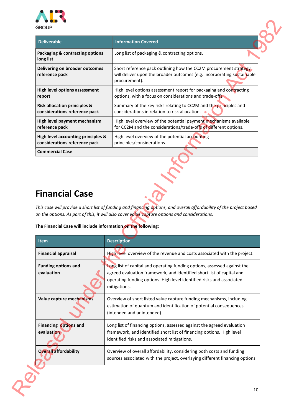

| <b>Deliverable</b>                                      | <b>Information Covered</b>                                                                                                                                   |
|---------------------------------------------------------|--------------------------------------------------------------------------------------------------------------------------------------------------------------|
| <b>Packaging &amp; contracting options</b><br>long list | Long list of packaging & contracting options.                                                                                                                |
| Delivering on broader outcomes<br>reference pack        | Short reference pack outlining how the CC2M procurement strategy.<br>will deliver upon the broader outcomes (e.g. incorporating sustainable<br>procurement). |
| <b>High level options assessment</b>                    | High level options assessment report for packaging and contracting                                                                                           |
| report                                                  | options, with a focus on considerations and trade-offs.                                                                                                      |
| <b>Risk allocation principles &amp;</b>                 | Summary of the key risks relating to CC2M and the principles and                                                                                             |
| considerations reference pack                           | considerations in relation to risk allocation.                                                                                                               |
| High level payment mechanism                            | High level overview of the potential payment mechanisms available                                                                                            |
| reference pack                                          | for CC2M and the considerations/trade-offs of different options.                                                                                             |
| High level accounting principles &                      | High level overview of the potential accounting                                                                                                              |
| considerations reference pack                           | principles/considerations.                                                                                                                                   |
| <b>Commercial Case</b>                                  |                                                                                                                                                              |

# **Financial Case**

# **The Financial Case will include information on the following:**

| <b>Deliverable</b>                                                                                                                 | <b>Information Covered</b>                                                                                                                                                                                                                 |
|------------------------------------------------------------------------------------------------------------------------------------|--------------------------------------------------------------------------------------------------------------------------------------------------------------------------------------------------------------------------------------------|
| Packaging & contracting options<br>long list                                                                                       | Long list of packaging & contracting options.                                                                                                                                                                                              |
| Delivering on broader outcomes<br>reference pack                                                                                   | Short reference pack outlining how the CC2M procurement strategy.<br>will deliver upon the broader outcomes (e.g. incorporating sustainable<br>procurement).                                                                               |
| High level options assessment<br>report                                                                                            | High level options assessment report for packaging and contracting<br>options, with a focus on considerations and trade-offs.                                                                                                              |
| <b>Risk allocation principles &amp;</b><br>considerations reference pack                                                           | Summary of the key risks relating to CC2M and the principles and<br>considerations in relation to risk allocation. $\bullet$                                                                                                               |
| High level payment mechanism<br>reference pack                                                                                     | High level overview of the potential payment mechanisms available<br>for CC2M and the considerations/trade-offs of different options.                                                                                                      |
| High level accounting principles &<br>considerations reference pack                                                                | High level overview of the potential accounting<br>principles/considerations.                                                                                                                                                              |
| <b>Commercial Case</b>                                                                                                             |                                                                                                                                                                                                                                            |
|                                                                                                                                    | This case will provide a short list of funding and financing options, and overall affordability of the project based<br>on the options. As part of this, it will also cover value capture options and considerations.                      |
| item                                                                                                                               |                                                                                                                                                                                                                                            |
| <b>Financial appraisal</b>                                                                                                         | <b>Description</b><br>High level overview of the revenue and costs associated with the project.                                                                                                                                            |
| <b>Financial Case</b><br>The Financial Case will include information on the following:<br><b>Funding options and</b><br>evaluation | Long list of capital and operating funding options, assessed against the<br>agreed evaluation framework, and identified short list of capital and<br>operating funding options. High level identified risks and associated<br>mitigations. |
| Value capture mechanisms                                                                                                           | Overview of short listed value capture funding mechanisms, including<br>estimation of quantum and identification of potential consequences<br>(intended and unintended).                                                                   |
| Financing options and<br>evaluation                                                                                                | Long list of financing options, assessed against the agreed evaluation<br>framework, and identified short list of financing options. High level<br>identified risks and associated mitigations.                                            |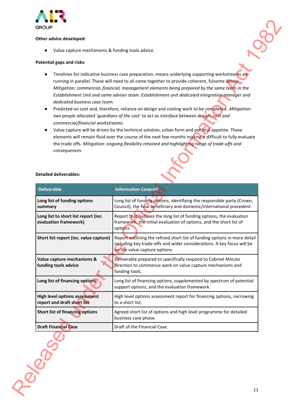

## **Other advice developed:**

# **Potential gaps and risks:**

- Timelines for indicative business case preparation, means underlying supporting workstreams are running in parallel. These will need to all come together to provide coherent, fulsome advice. *Mitigation: commercial, financial, management elements being prepared by the same team in the Establishment Unit and same adviser team. Establishment unit dedicated integration manager and dedicated business case team.*
- Predicted on cost and, therefore, reliance on design and costing work to be completed. *Mitigation: two people allocated 'guardians of the cost' to act as interface between design, cost and commercial/financial workstreams.*
- Value capture will be driven by the technical solution, urban form and political appetite. These elements will remain fluid over the course of the next few months making it difficult to fully evaluate the trade offs. *Mitigation: ongoing flexibility retained and highlighting range of trade-offs and consequences.*

| Value capture mechanisms & funding tools advice.                                                                                  |                                                                                                                                                                                                                                                                                                                                                                                                                                                                                                                                                                                                                                                                                                                                                                                                                                                                                                                             |
|-----------------------------------------------------------------------------------------------------------------------------------|-----------------------------------------------------------------------------------------------------------------------------------------------------------------------------------------------------------------------------------------------------------------------------------------------------------------------------------------------------------------------------------------------------------------------------------------------------------------------------------------------------------------------------------------------------------------------------------------------------------------------------------------------------------------------------------------------------------------------------------------------------------------------------------------------------------------------------------------------------------------------------------------------------------------------------|
| <b>Potential gaps and risks:</b>                                                                                                  |                                                                                                                                                                                                                                                                                                                                                                                                                                                                                                                                                                                                                                                                                                                                                                                                                                                                                                                             |
| dedicated business case team.<br>commercial/financial workstreams.<br>$\bullet$<br>consequences.<br><b>Detailed deliverables:</b> | Timelines for indicative business case preparation, means underlying supporting workstreams are<br>running in parallel. These will need to all come together to provide coherent, fulsome advice.<br>Mitigation: commercial, financial, management elements being prepared by the same team in the<br>Establishment Unit and same adviser team. Establishment unit dedicated integration manager and<br>Predicted on cost and, therefore, reliance on design and costing work to be completed. Mitigation:<br>two people allocated 'guardians of the cost' to act as interface between design, cost and<br>Value capture will be driven by the technical solution, urban form and political appetite. These<br>elements will remain fluid over the course of the next few months making it difficult to fully evaluate<br>the trade offs. Mitigation: ongoing flexibility retained and highlighting range of trade-offs and |
| <b>Deliverable</b>                                                                                                                | <b>Information Covered</b>                                                                                                                                                                                                                                                                                                                                                                                                                                                                                                                                                                                                                                                                                                                                                                                                                                                                                                  |
| Long list of funding options<br>summary                                                                                           | Long list of funding options, identifying the responsible party (Crown,<br>Council), the final beneficiary and domestic/international precedent.                                                                                                                                                                                                                                                                                                                                                                                                                                                                                                                                                                                                                                                                                                                                                                            |
| Long list to short list report (inc.<br>evaluation framework)                                                                     | Report that outlines the long list of funding options, the evaluation<br>framework, the initial evaluation of options, and the short list of<br>options.                                                                                                                                                                                                                                                                                                                                                                                                                                                                                                                                                                                                                                                                                                                                                                    |
| Short list report (inc. value capture)                                                                                            | Report outlining the refined short list of funding options in more detail<br>including key trade-offs and wider considerations. A key focus will be<br>on the value capture options.                                                                                                                                                                                                                                                                                                                                                                                                                                                                                                                                                                                                                                                                                                                                        |
| Value capture mechanisms &<br>funding tools advice                                                                                | Deliverable prepared to specifically respond to Cabinet Minute<br>direction to commence work on value capture mechanisms and<br>funding tools.                                                                                                                                                                                                                                                                                                                                                                                                                                                                                                                                                                                                                                                                                                                                                                              |
| Long list of financing options                                                                                                    | Long list of financing options, supplemented by spectrum of potential<br>support options, and the evaluation framework.                                                                                                                                                                                                                                                                                                                                                                                                                                                                                                                                                                                                                                                                                                                                                                                                     |
| <b>High level options assessment</b><br>report and draft short list                                                               | High level options assessment report for financing options, narrowing<br>to a short list.                                                                                                                                                                                                                                                                                                                                                                                                                                                                                                                                                                                                                                                                                                                                                                                                                                   |
| Short list of financing options                                                                                                   | Agreed short list of options and high level programme for detailed<br>business case phase.                                                                                                                                                                                                                                                                                                                                                                                                                                                                                                                                                                                                                                                                                                                                                                                                                                  |
| <b>Draft Financial Case</b>                                                                                                       | Draft of the Financial Case.                                                                                                                                                                                                                                                                                                                                                                                                                                                                                                                                                                                                                                                                                                                                                                                                                                                                                                |
|                                                                                                                                   |                                                                                                                                                                                                                                                                                                                                                                                                                                                                                                                                                                                                                                                                                                                                                                                                                                                                                                                             |

### **Detailed deliverables:**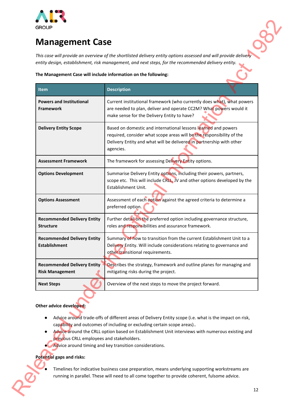

# **Management Case**

### **The Management Case will include information on the following:**

| <b>Management Case</b>                                                                                                |                                                                                                                                                                                                                                                                                                                                                                                                                                                   |
|-----------------------------------------------------------------------------------------------------------------------|---------------------------------------------------------------------------------------------------------------------------------------------------------------------------------------------------------------------------------------------------------------------------------------------------------------------------------------------------------------------------------------------------------------------------------------------------|
|                                                                                                                       | This case will provide an overview of the shortlisted delivery entity options assessed and will provide delivery<br>entity design, establishment, risk management, and next steps, for the recommended delivery entity.                                                                                                                                                                                                                           |
| The Management Case will include information on the following:                                                        |                                                                                                                                                                                                                                                                                                                                                                                                                                                   |
| <b>Item</b>                                                                                                           | <b>Description</b>                                                                                                                                                                                                                                                                                                                                                                                                                                |
| <b>Powers and Institutional</b><br><b>Framework</b>                                                                   | Current institutional framework (who currently does what), what powers<br>are needed to plan, deliver and operate CC2M? What powers would it<br>make sense for the Delivery Entity to have?                                                                                                                                                                                                                                                       |
| <b>Delivery Entity Scope</b>                                                                                          | Based on domestic and international lessons learned and powers<br>required, consider what scope areas will be the responsibility of the<br>Delivery Entity and what will be delivered in partnership with other<br>agencies.                                                                                                                                                                                                                      |
| <b>Assessment Framework</b>                                                                                           | The framework for assessing Delivery Entity options.                                                                                                                                                                                                                                                                                                                                                                                              |
| <b>Options Development</b>                                                                                            | Summarise Delivery Entity options, including their powers, partners,<br>scope etc. This will include CRLL, JV and other options developed by the<br>Establishment Unit.                                                                                                                                                                                                                                                                           |
| <b>Options Assessment</b>                                                                                             | Assessment of each option against the agreed criteria to determine a<br>preferred option.                                                                                                                                                                                                                                                                                                                                                         |
| <b>Recommended Delivery Entity</b><br><b>Structure</b>                                                                | Further detail on the preferred option including governance structure,<br>roles and responsibilities and assurance framework.                                                                                                                                                                                                                                                                                                                     |
| <b>Recommended Delivery Entity</b><br><b>Establishment</b>                                                            | Summary of how to transition from the current Establishment Unit to a<br>Delivery Entity. Will include considerations relating to governance and<br>other transitional requirements.                                                                                                                                                                                                                                                              |
| <b>Recommended Delivery Entity</b><br><b>Risk Management</b>                                                          | Describes the strategy, framework and outline planes for managing and<br>mitigating risks during the project.                                                                                                                                                                                                                                                                                                                                     |
| <b>Next Steps</b>                                                                                                     | Overview of the next steps to move the project forward.                                                                                                                                                                                                                                                                                                                                                                                           |
| Other advice developed:<br>$\bullet$<br>previous CRLL employees and stakeholders.<br><b>Potential gaps and risks:</b> | Advice around trade-offs of different areas of Delivery Entity scope (i.e. what is the impact on risk,<br>capability and outcomes of including or excluding certain scope areas)<br>Advice around the CRLL option based on Establishment Unit interviews with numerous existing and<br>Advice around timing and key transition considerations.<br>Timelines for indicative business case preparation, means underlying supporting workstreams are |

- Advice around trade-offs of different areas of Delivery Entity scope (i.e. what is the impact on risk, capability and outcomes of including or excluding certain scope areas)..
- Advice around the CRLL option based on Establishment Unit interviews with numerous existing and previous CRLL employees and stakeholders.
- Advice around timing and key transition considerations.

# **Potential gaps and risks:**